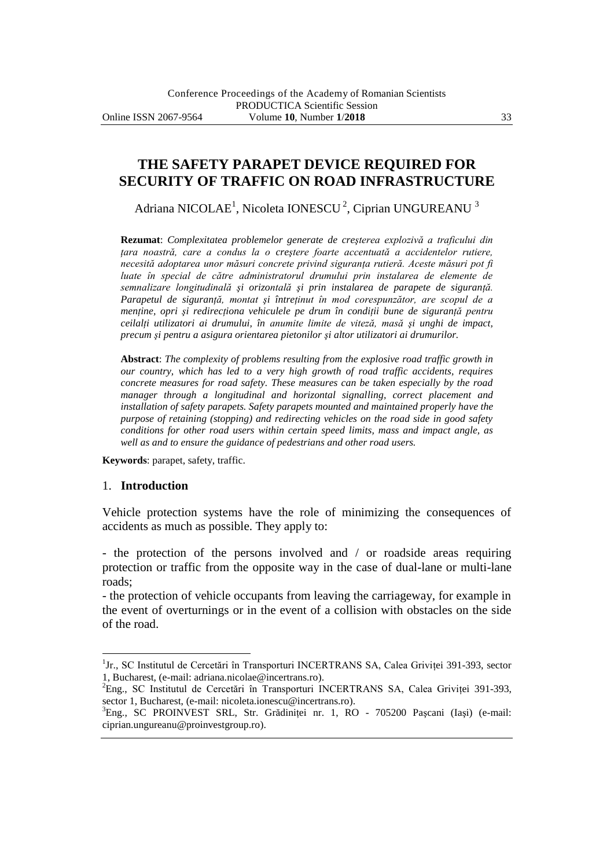# **THE SAFETY PARAPET DEVICE REQUIRED FOR SECURITY OF TRAFFIC ON ROAD INFRASTRUCTURE**

Adriana NICOLAE<sup>1</sup>, Nicoleta IONESCU<sup>2</sup>, Ciprian UNGUREANU<sup>3</sup>

**Rezumat**: *Complexitatea problemelor generate de creşterea explozivă a traficului din ţara noastră, care a condus la o creştere foarte accentuată a accidentelor rutiere, necesită adoptarea unor măsuri concrete privind siguranţa rutieră. Aceste măsuri pot fi luate în special de către administratorul drumului prin instalarea de elemente de semnalizare longitudinală şi orizontală şi prin instalarea de parapete de siguranţă. Parapetul de siguranţă, montat şi întreţinut în mod corespunzător, are scopul de a menține, opri și redirecționa vehiculele pe drum în condiții bune de siguranță pentru ceilalţi utilizatori ai drumului, în anumite limite de viteză, masă şi unghi de impact, precum şi pentru a asigura orientarea pietonilor şi altor utilizatori ai drumurilor.*

**Abstract**: *The complexity of problems resulting from the explosive road traffic growth in our country, which has led to a very high growth of road traffic accidents, requires concrete measures for road safety. These measures can be taken especially by the road manager through a longitudinal and horizontal signalling, correct placement and installation of safety parapets. Safety parapets mounted and maintained properly have the purpose of retaining (stopping) and redirecting vehicles on the road side in good safety conditions for other road users within certain speed limits, mass and impact angle, as well as and to ensure the guidance of pedestrians and other road users.*

**Keywords**: parapet, safety, traffic.

#### 1. **Introduction**

 $\overline{a}$ 

Vehicle protection systems have the role of minimizing the consequences of accidents as much as possible. They apply to:

- the protection of the persons involved and / or roadside areas requiring protection or traffic from the opposite way in the case of dual-lane or multi-lane roads;

- the protection of vehicle occupants from leaving the carriageway, for example in the event of overturnings or in the event of a collision with obstacles on the side of the road.

<sup>&</sup>lt;sup>1</sup>Jr., SC Institutul de Cercetări în Transporturi INCERTRANS SA, Calea Griviței 391-393, sector 1, Bucharest, (e-mail: adriana.nicolae@incertrans.ro).

<sup>&</sup>lt;sup>2</sup>Eng., SC Institutul de Cercetări în Transporturi INCERTRANS SA, Calea Griviței 391-393, sector 1, Bucharest, (e-mail: nicoleta.ionescu@incertrans.ro).

<sup>3</sup>Eng., SC PROINVEST SRL, Str. Grădiniţei nr. 1, RO - 705200 Paşcani (Iaşi) (e-mail: ciprian.ungureanu@proinvestgroup.ro).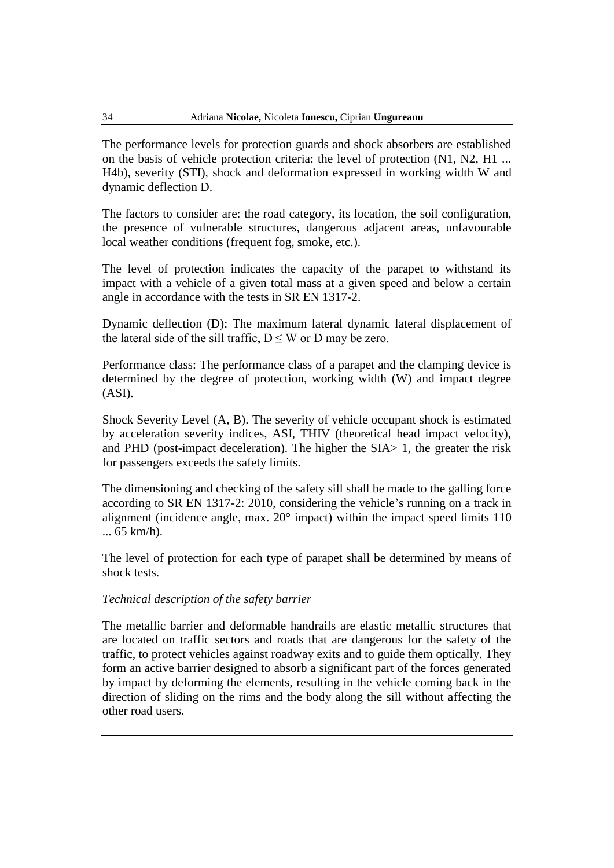The performance levels for protection guards and shock absorbers are established on the basis of vehicle protection criteria: the level of protection (N1, N2, H1 ... H4b), severity (STI), shock and deformation expressed in working width W and dynamic deflection D.

The factors to consider are: the road category, its location, the soil configuration, the presence of vulnerable structures, dangerous adjacent areas, unfavourable local weather conditions (frequent fog, smoke, etc.).

The level of protection indicates the capacity of the parapet to withstand its impact with a vehicle of a given total mass at a given speed and below a certain angle in accordance with the tests in SR EN 1317-2.

Dynamic deflection (D): The maximum lateral dynamic lateral displacement of the lateral side of the sill traffic,  $D \leq W$  or D may be zero.

Performance class: The performance class of a parapet and the clamping device is determined by the degree of protection, working width (W) and impact degree (ASI).

Shock Severity Level (A, B). The severity of vehicle occupant shock is estimated by acceleration severity indices, ASI, THIV (theoretical head impact velocity), and PHD (post-impact deceleration). The higher the SIA> 1, the greater the risk for passengers exceeds the safety limits.

The dimensioning and checking of the safety sill shall be made to the galling force according to SR EN 1317-2: 2010, considering the vehicle's running on a track in alignment (incidence angle, max. 20° impact) within the impact speed limits 110 ... 65 km/h).

The level of protection for each type of parapet shall be determined by means of shock tests.

#### *Technical description of the safety barrier*

The metallic barrier and deformable handrails are elastic metallic structures that are located on traffic sectors and roads that are dangerous for the safety of the traffic, to protect vehicles against roadway exits and to guide them optically. They form an active barrier designed to absorb a significant part of the forces generated by impact by deforming the elements, resulting in the vehicle coming back in the direction of sliding on the rims and the body along the sill without affecting the other road users.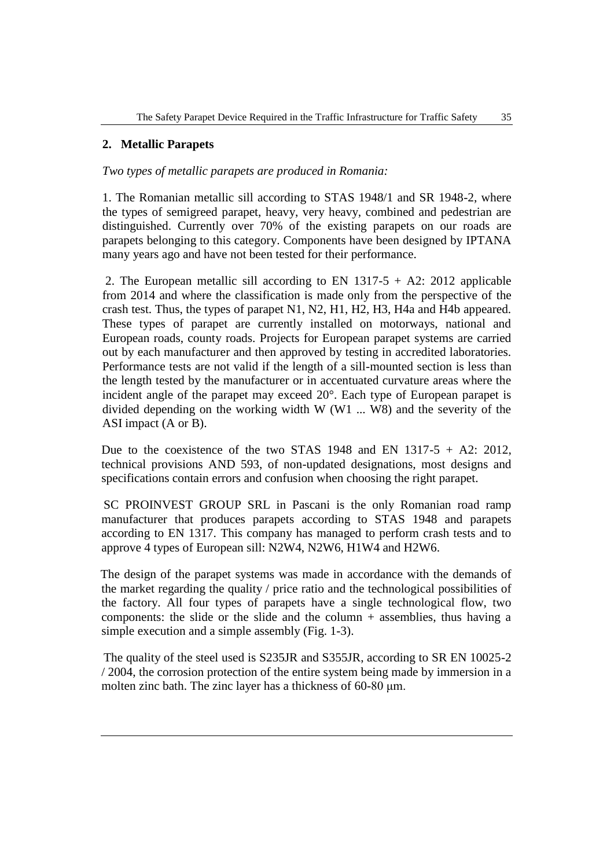### **2. Metallic Parapets**

#### *Two types of metallic parapets are produced in Romania:*

1. The Romanian metallic sill according to STAS 1948/1 and SR 1948-2, where the types of semigreed parapet, heavy, very heavy, combined and pedestrian are distinguished. Currently over 70% of the existing parapets on our roads are parapets belonging to this category. Components have been designed by IPTANA many years ago and have not been tested for their performance.

2. The European metallic sill according to EN  $1317-5 + A2$ : 2012 applicable from 2014 and where the classification is made only from the perspective of the crash test. Thus, the types of parapet N1, N2, H1, H2, H3, H4a and H4b appeared. These types of parapet are currently installed on motorways, national and European roads, county roads. Projects for European parapet systems are carried out by each manufacturer and then approved by testing in accredited laboratories. Performance tests are not valid if the length of a sill-mounted section is less than the length tested by the manufacturer or in accentuated curvature areas where the incident angle of the parapet may exceed 20°. Each type of European parapet is divided depending on the working width W (W1 ... W8) and the severity of the ASI impact (A or B).

Due to the coexistence of the two STAS 1948 and EN 1317-5  $+$  A2: 2012, technical provisions AND 593, of non-updated designations, most designs and specifications contain errors and confusion when choosing the right parapet.

SC PROINVEST GROUP SRL in Pascani is the only Romanian road ramp manufacturer that produces parapets according to STAS 1948 and parapets according to EN 1317. This company has managed to perform crash tests and to approve 4 types of European sill: N2W4, N2W6, H1W4 and H2W6.

The design of the parapet systems was made in accordance with the demands of the market regarding the quality / price ratio and the technological possibilities of the factory. All four types of parapets have a single technological flow, two components: the slide or the slide and the column  $+$  assemblies, thus having a simple execution and a simple assembly (Fig. 1-3).

The quality of the steel used is S235JR and S355JR, according to SR EN 10025-2 / 2004, the corrosion protection of the entire system being made by immersion in a molten zinc bath. The zinc layer has a thickness of 60-80 μm.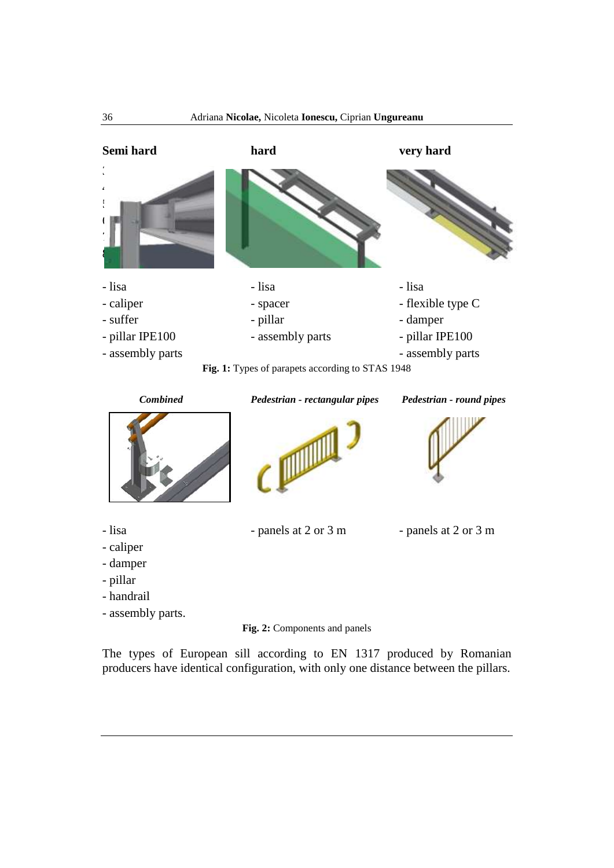

**Fig. 1:** Types of parapets according to STAS 1948

 $\epsilon$ 

*Combined Pedestrian - rectangular pipes Pedestrian - round pipes*



- lisa panels at 2 or 3 m panels at 2 or 3 m
- caliper
- damper
- pillar
- handrail
- assembly parts.

**Fig. 2:** Components and panels

The types of European sill according to EN 1317 produced by Romanian producers have identical configuration, with only one distance between the pillars.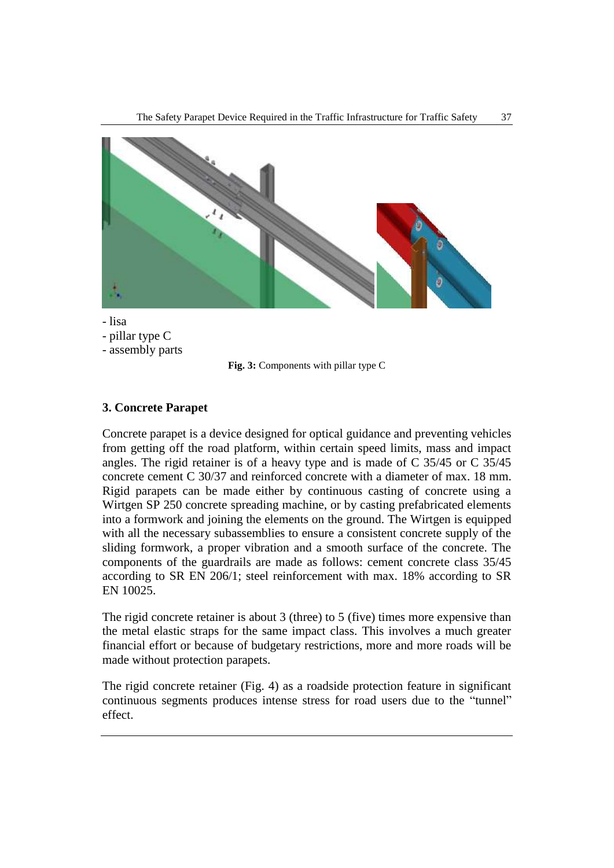

- lisa
- pillar type C
- assembly parts



## **3. Concrete Parapet**

Concrete parapet is a device designed for optical guidance and preventing vehicles from getting off the road platform, within certain speed limits, mass and impact angles. The rigid retainer is of a heavy type and is made of C 35/45 or C 35/45 concrete cement C 30/37 and reinforced concrete with a diameter of max. 18 mm. Rigid parapets can be made either by continuous casting of concrete using a Wirtgen SP 250 concrete spreading machine, or by casting prefabricated elements into a formwork and joining the elements on the ground. The Wirtgen is equipped with all the necessary subassemblies to ensure a consistent concrete supply of the sliding formwork, a proper vibration and a smooth surface of the concrete. The components of the guardrails are made as follows: cement concrete class 35/45 according to SR EN 206/1; steel reinforcement with max. 18% according to SR EN 10025.

The rigid concrete retainer is about 3 (three) to 5 (five) times more expensive than the metal elastic straps for the same impact class. This involves a much greater financial effort or because of budgetary restrictions, more and more roads will be made without protection parapets.

The rigid concrete retainer (Fig. 4) as a roadside protection feature in significant continuous segments produces intense stress for road users due to the "tunnel" effect.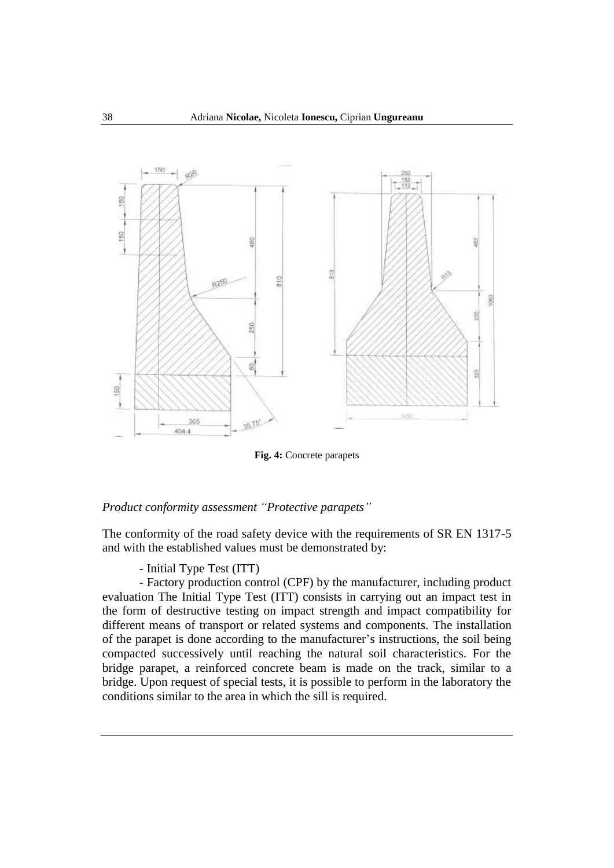

**Fig. 4:** Concrete parapets

#### *Product conformity assessment "Protective parapets"*

The conformity of the road safety device with the requirements of SR EN 1317-5 and with the established values must be demonstrated by:

- Initial Type Test (ITT)

- Factory production control (CPF) by the manufacturer, including product evaluation The Initial Type Test (ITT) consists in carrying out an impact test in the form of destructive testing on impact strength and impact compatibility for different means of transport or related systems and components. The installation of the parapet is done according to the manufacturer's instructions, the soil being compacted successively until reaching the natural soil characteristics. For the bridge parapet, a reinforced concrete beam is made on the track, similar to a bridge. Upon request of special tests, it is possible to perform in the laboratory the conditions similar to the area in which the sill is required.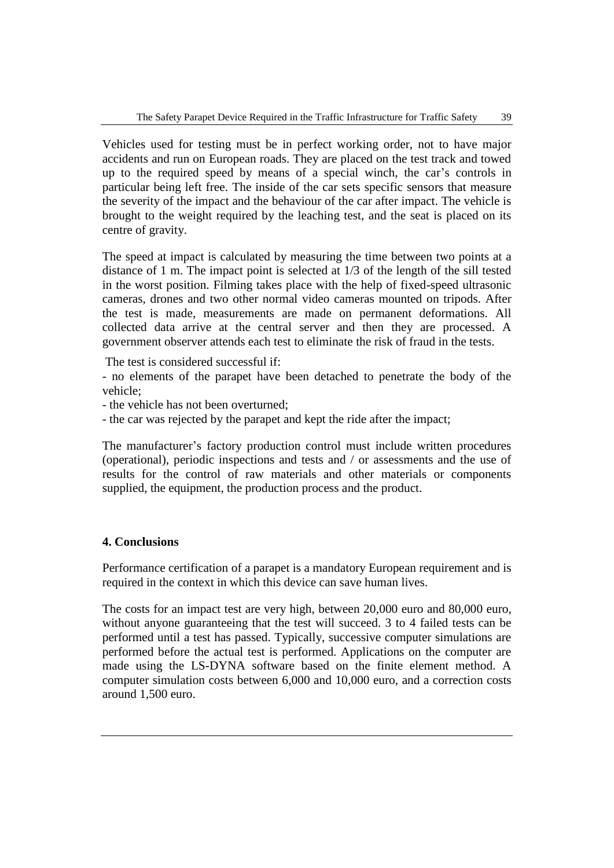Vehicles used for testing must be in perfect working order, not to have major accidents and run on European roads. They are placed on the test track and towed up to the required speed by means of a special winch, the car's controls in particular being left free. The inside of the car sets specific sensors that measure the severity of the impact and the behaviour of the car after impact. The vehicle is brought to the weight required by the leaching test, and the seat is placed on its centre of gravity.

The speed at impact is calculated by measuring the time between two points at a distance of 1 m. The impact point is selected at 1/3 of the length of the sill tested in the worst position. Filming takes place with the help of fixed-speed ultrasonic cameras, drones and two other normal video cameras mounted on tripods. After the test is made, measurements are made on permanent deformations. All collected data arrive at the central server and then they are processed. A government observer attends each test to eliminate the risk of fraud in the tests.

The test is considered successful if:

- no elements of the parapet have been detached to penetrate the body of the vehicle;

- the vehicle has not been overturned;

- the car was rejected by the parapet and kept the ride after the impact;

The manufacturer's factory production control must include written procedures (operational), periodic inspections and tests and / or assessments and the use of results for the control of raw materials and other materials or components supplied, the equipment, the production process and the product.

### **4. Conclusions**

Performance certification of a parapet is a mandatory European requirement and is required in the context in which this device can save human lives.

The costs for an impact test are very high, between 20,000 euro and 80,000 euro, without anyone guaranteeing that the test will succeed. 3 to 4 failed tests can be performed until a test has passed. Typically, successive computer simulations are performed before the actual test is performed. Applications on the computer are made using the LS-DYNA software based on the finite element method. A computer simulation costs between 6,000 and 10,000 euro, and a correction costs around 1,500 euro.